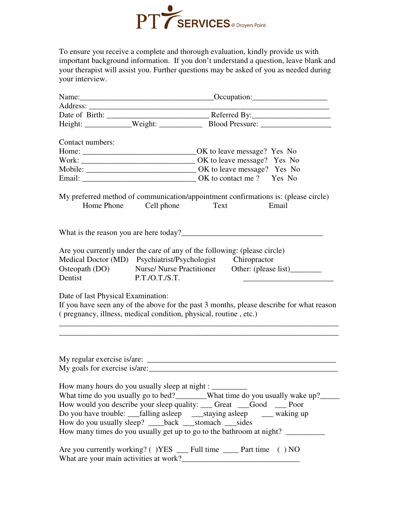

To ensure you receive a complete and thorough evaluation, kindly provide us with important background information. If you don't understand a question, leave blank and your therapist will assist you. Further questions may be asked of you as needed during your interview.

| Contact numbers:                   |                                                        |                                                                                                                                                                                                                                                                                        |                                                                                          |
|------------------------------------|--------------------------------------------------------|----------------------------------------------------------------------------------------------------------------------------------------------------------------------------------------------------------------------------------------------------------------------------------------|------------------------------------------------------------------------------------------|
|                                    |                                                        |                                                                                                                                                                                                                                                                                        |                                                                                          |
|                                    |                                                        |                                                                                                                                                                                                                                                                                        |                                                                                          |
|                                    |                                                        |                                                                                                                                                                                                                                                                                        |                                                                                          |
|                                    |                                                        |                                                                                                                                                                                                                                                                                        |                                                                                          |
|                                    | Home Phone Cell phone                                  | My preferred method of communication/appointment confirmations is: (please circle)<br>Text                                                                                                                                                                                             | Email                                                                                    |
|                                    |                                                        |                                                                                                                                                                                                                                                                                        |                                                                                          |
| Dentist                            | P.T./O.T./S.T.                                         | Are you currently under the care of any of the following: (please circle)<br>Medical Doctor (MD) Psychiatrist/Psychologist Chiropractor<br>Osteopath (DO) Nurse/Nurse Practitioner Other: (please list)                                                                                |                                                                                          |
| Date of last Physical Examination: |                                                        | (pregnancy, illness, medical condition, physical, routine, etc.)                                                                                                                                                                                                                       | If you have seen any of the above for the past 3 months, please describe for what reason |
|                                    |                                                        |                                                                                                                                                                                                                                                                                        |                                                                                          |
|                                    | How many hours do you usually sleep at night : _______ | How would you describe your sleep quality: ____ Great ___Good ____ Poor<br>Do you have trouble: ___falling asleep ____staying asleep _____ waking up<br>How do you usually sleep? ____back ___stomach ___sides<br>How many times do you usually get up to go to the bathroom at night? | What time do you usually go to bed?_______What time do you usually wake up?_____         |
|                                    |                                                        | Are you currently working? ()YES ___ Full time ____ Part time () NO                                                                                                                                                                                                                    |                                                                                          |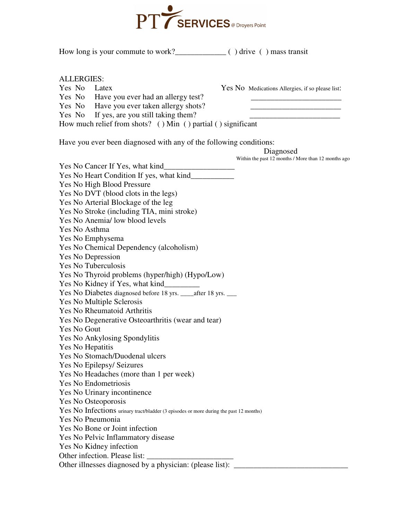

How long is your commute to work?\_\_\_\_\_\_\_\_\_\_\_\_\_ ( ) drive ( ) mass transit

ALLERGIES:

Yes No Latex Yes No Medications Allergies, if so please list:

Yes No Have you ever had an allergy test? Yes No Have you ever taken allergy shots?

Yes No If yes, are you still taking them?

How much relief from shots? ( ) Min ( ) partial ( ) significant

Have you ever been diagnosed with any of the following conditions:

 Diagnosed Within the past 12 months / More than 12 months ago Yes No Cancer If Yes, what kind\_\_\_\_\_\_\_\_\_\_\_\_\_\_\_\_\_\_ Yes No Heart Condition If yes, what kind\_\_\_\_\_\_\_\_\_\_\_ Yes No High Blood Pressure Yes No DVT (blood clots in the legs) Yes No Arterial Blockage of the leg Yes No Stroke (including TIA, mini stroke) Yes No Anemia/ low blood levels Yes No Asthma Yes No Emphysema Yes No Chemical Dependency (alcoholism) Yes No Depression Yes No Tuberculosis Yes No Thyroid problems (hyper/high) (Hypo/Low) Yes No Kidney if Yes, what kind\_\_\_\_\_\_\_\_\_ Yes No Diabetes diagnosed before 18 yrs. <br>after 18 yrs. Yes No Multiple Sclerosis Yes No Rheumatoid Arthritis Yes No Degenerative Osteoarthritis (wear and tear) Yes No Gout Yes No Ankylosing Spondylitis Yes No Hepatitis Yes No Stomach/Duodenal ulcers Yes No Epilepsy/ Seizures Yes No Headaches (more than 1 per week) Yes No Endometriosis Yes No Urinary incontinence Yes No Osteoporosis Yes No Infections urinary tract/bladder (3 episodes or more during the past 12 months) Yes No Pneumonia Yes No Bone or Joint infection Yes No Pelvic Inflammatory disease Yes No Kidney infection Other infection. Please list: Other illnesses diagnosed by a physician: (please list):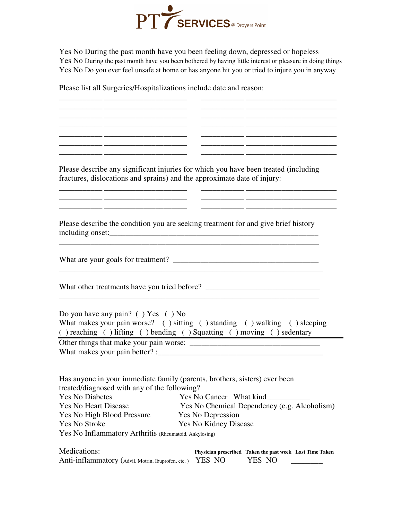

Yes No During the past month have you been feeling down, depressed or hopeless Yes No During the past month have you been bothered by having little interest or pleasure in doing things Yes No Do you ever feel unsafe at home or has anyone hit you or tried to injure you in anyway

\_\_\_\_\_\_\_\_\_\_\_ \_\_\_\_\_\_\_\_\_\_\_\_\_\_\_\_\_\_\_\_\_ \_\_\_\_\_\_\_\_\_\_\_ \_\_\_\_\_\_\_\_\_\_\_\_\_\_\_\_\_\_\_\_\_\_\_ \_\_\_\_\_\_\_\_\_\_\_ \_\_\_\_\_\_\_\_\_\_\_\_\_\_\_\_\_\_\_\_\_ \_\_\_\_\_\_\_\_\_\_\_ \_\_\_\_\_\_\_\_\_\_\_\_\_\_\_\_\_\_\_\_\_\_\_ \_\_\_\_\_\_\_\_\_\_\_ \_\_\_\_\_\_\_\_\_\_\_\_\_\_\_\_\_\_\_\_\_ \_\_\_\_\_\_\_\_\_\_\_ \_\_\_\_\_\_\_\_\_\_\_\_\_\_\_\_\_\_\_\_\_\_\_ \_\_\_\_\_\_\_\_\_\_\_ \_\_\_\_\_\_\_\_\_\_\_\_\_\_\_\_\_\_\_\_\_ \_\_\_\_\_\_\_\_\_\_\_ \_\_\_\_\_\_\_\_\_\_\_\_\_\_\_\_\_\_\_\_\_\_\_

\_\_\_\_\_\_\_\_\_\_\_ \_\_\_\_\_\_\_\_\_\_\_\_\_\_\_\_\_\_\_\_\_ \_\_\_\_\_\_\_\_\_\_\_ \_\_\_\_\_\_\_\_\_\_\_\_\_\_\_\_\_\_\_\_\_\_\_ \_\_\_\_\_\_\_\_\_\_\_ \_\_\_\_\_\_\_\_\_\_\_\_\_\_\_\_\_\_\_\_\_ \_\_\_\_\_\_\_\_\_\_\_ \_\_\_\_\_\_\_\_\_\_\_\_\_\_\_\_\_\_\_\_\_\_\_

\_\_\_\_\_\_\_\_\_\_\_ \_\_\_\_\_\_\_\_\_\_\_\_\_\_\_\_\_\_\_\_\_ \_\_\_\_\_\_\_\_\_\_\_ \_\_\_\_\_\_\_\_\_\_\_\_\_\_\_\_\_\_\_\_\_\_\_

Please list all Surgeries/Hospitalizations include date and reason:

Please describe any significant injuries for which you have been treated (including fractures, dislocations and sprains) and the approximate date of injury:

\_\_\_\_\_\_\_\_\_\_\_ \_\_\_\_\_\_\_\_\_\_\_\_\_\_\_\_\_\_\_\_\_ \_\_\_\_\_\_\_\_\_\_\_ \_\_\_\_\_\_\_\_\_\_\_\_\_\_\_\_\_\_\_\_\_\_\_ \_\_\_\_\_\_\_\_\_\_\_ \_\_\_\_\_\_\_\_\_\_\_\_\_\_\_\_\_\_\_\_\_ \_\_\_\_\_\_\_\_\_\_\_ \_\_\_\_\_\_\_\_\_\_\_\_\_\_\_\_\_\_\_\_\_\_\_

Please describe the condition you are seeking treatment for and give brief history including onset:\_\_\_\_\_\_\_\_\_\_\_\_\_\_\_\_\_\_\_\_\_\_\_\_\_\_\_\_\_\_\_\_\_\_\_\_\_\_\_\_\_\_\_\_\_\_\_\_\_\_\_\_\_

\_\_\_\_\_\_\_\_\_\_\_\_\_\_\_\_\_\_\_\_\_\_\_\_\_\_\_\_\_\_\_\_\_\_\_\_\_\_\_\_\_\_\_\_\_\_\_\_\_\_\_\_\_\_\_\_\_\_\_\_\_\_\_\_\_\_

What are your goals for treatment? \_\_\_\_\_\_\_\_\_\_\_\_\_\_\_\_\_\_\_\_\_\_\_\_\_\_\_\_\_\_\_\_\_\_\_\_\_

What other treatments have you tried before? \_\_\_\_\_\_\_\_\_\_\_\_\_\_\_\_\_\_\_\_\_\_\_\_\_\_\_\_\_\_\_\_\_\_\_

Do you have any pain? ( ) Yes ( ) No

What makes your pain worse? ( ) sitting ( ) standing ( ) walking ( ) sleeping ( ) reaching ( ) lifting ( ) bending ( ) Squatting ( ) moving ( ) sedentary

\_\_\_\_\_\_\_\_\_\_\_\_\_\_\_\_\_\_\_\_\_\_\_\_\_\_\_\_\_\_\_\_\_\_\_\_\_\_\_\_\_\_\_\_\_\_\_\_\_\_\_\_\_\_\_\_\_\_\_\_\_\_\_\_\_\_

Other things that make your pain worse: What makes your pain better? :\_\_\_\_\_\_\_\_\_\_\_\_\_\_\_\_\_\_\_\_\_\_\_\_\_\_\_\_\_\_\_\_\_\_\_\_\_\_\_\_\_\_

Has anyone in your immediate family (parents, brothers, sisters) ever been treated/diagnosed with any of the following? Yes No Diabetes Yes No Cancer What kind\_\_\_\_\_\_\_\_\_\_\_ Yes No Heart Disease Yes No Chemical Dependency (e.g. Alcoholism) Yes No High Blood Pressure Yes No Depression Yes No Stroke Yes No Kidney Disease Yes No Inflammatory Arthritis (Rheumatoid, Ankylosing)

Medications: **Physician prescribed Taken the past week Last Time Taken** Anti-inflammatory (Advil, Motrin, Ibuprofen, etc.) YES NO YES NO